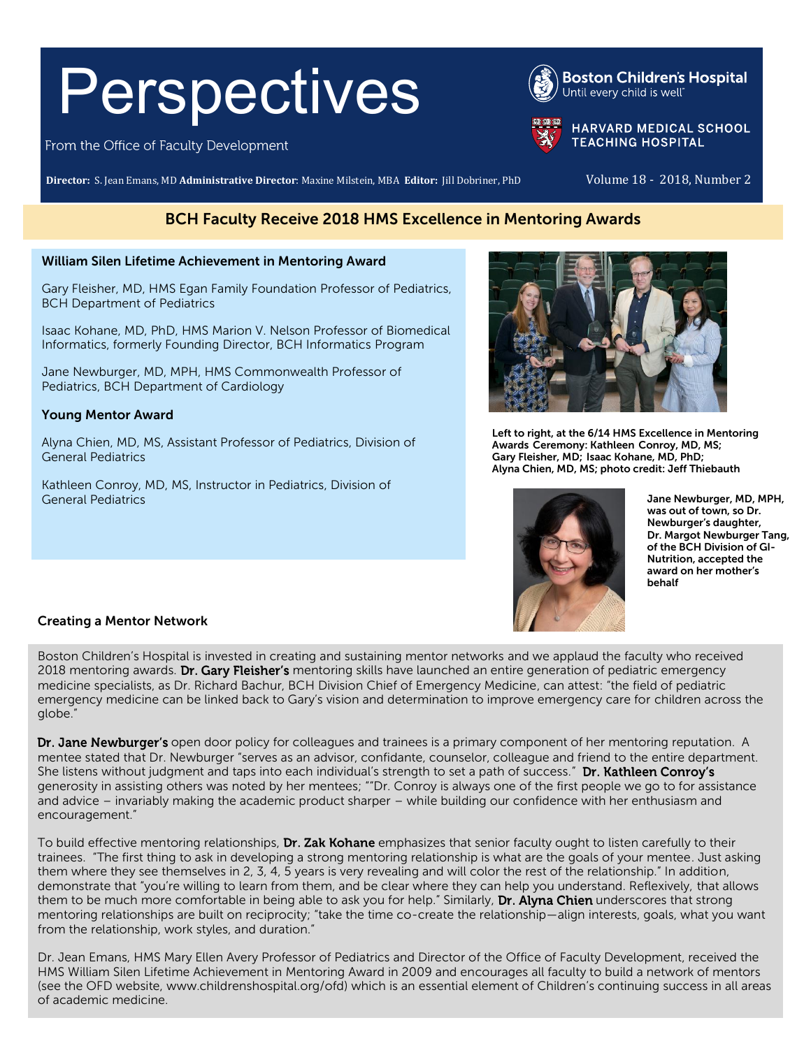# Perspectives

From the Office of Faculty Development

**Director:** S. Jean Emans, MD **Administrative Director**: Maxine Milstein, MBA **Editor:** Jill Dobriner, PhD Volume 18 - 2018, Number 2

# BCH Faculty Receive 2018 HMS Excellence in Mentoring Awards

#### William Silen Lifetime Achievement in Mentoring Award

Gary Fleisher, MD, HMS Egan Family Foundation Professor of Pediatrics, BCH Department of Pediatrics

Isaac Kohane, MD, PhD, HMS Marion V. Nelson Professor of Biomedical Informatics, formerly Founding Director, BCH Informatics Program

Jane Newburger, MD, MPH, HMS Commonwealth Professor of Pediatrics, BCH Department of Cardiology

### Young Mentor Award

Alyna Chien, MD, MS, Assistant Professor of Pediatrics, Division of General Pediatrics

Kathleen Conroy, MD, MS, Instructor in Pediatrics, Division of General Pediatrics



Left to right, at the 6/14 HMS Excellence in Mentoring Awards Ceremony: Kathleen Conroy, MD, MS; Gary Fleisher, MD; Isaac Kohane, MD, PhD; Alyna Chien, MD, MS; photo credit: Jeff Thiebauth



Jane Newburger, MD, MPH, was out of town, so Dr. Newburger's daughter, Dr. Margot Newburger Tang, of the BCH Division of GI-Nutrition, accepted the award on her mother's behalf

## Creating a Mentor Network

Boston Children's Hospital is invested in creating and sustaining mentor networks and we applaud the faculty who received 2018 mentoring awards. Dr. Gary Fleisher's mentoring skills have launched an entire generation of pediatric emergency medicine specialists, as Dr. Richard Bachur, BCH Division Chief of Emergency Medicine, can attest: "the field of pediatric emergency medicine can be linked back to Gary's vision and determination to improve emergency care for children across the globe."

Dr. Jane Newburger's open door policy for colleagues and trainees is a primary component of her mentoring reputation. A mentee stated that Dr. Newburger "serves as an advisor, confidante, counselor, colleague and friend to the entire department. She listens without judgment and taps into each individual's strength to set a path of success." Dr. Kathleen Conroy's generosity in assisting others was noted by her mentees; ""Dr. Conroy is always one of the first people we go to for assistance and advice – invariably making the academic product sharper – while building our confidence with her enthusiasm and encouragement."

To build effective mentoring relationships, Dr. Zak Kohane emphasizes that senior faculty ought to listen carefully to their trainees. "The first thing to ask in developing a strong mentoring relationship is what are the goals of your mentee. Just asking them where they see themselves in 2, 3, 4, 5 years is very revealing and will color the rest of the relationship." In addition, demonstrate that "you're willing to learn from them, and be clear where they can help you understand. Reflexively, that allows them to be much more comfortable in being able to ask you for help." Similarly, Dr. Alyna Chien underscores that strong mentoring relationships are built on reciprocity; "take the time co-create the relationship—align interests, goals, what you want from the relationship, work styles, and duration."

Dr. Jean Emans, HMS Mary Ellen Avery Professor of Pediatrics and Director of the Office of Faculty Development, received the HMS William Silen Lifetime Achievement in Mentoring Award in 2009 and encourages all faculty to build a network of mentors (see the OFD website[, www.childrenshospital.org/ofd](http://www.childrenshospital.org/ofd)) which is an essential element of Children's continuing success in all areas of academic medicine.



**Boston Children's Hospital** Until every child is well<sup>®</sup>



**HARVARD MEDICAL SCHOOL TEACHING HOSPITAL**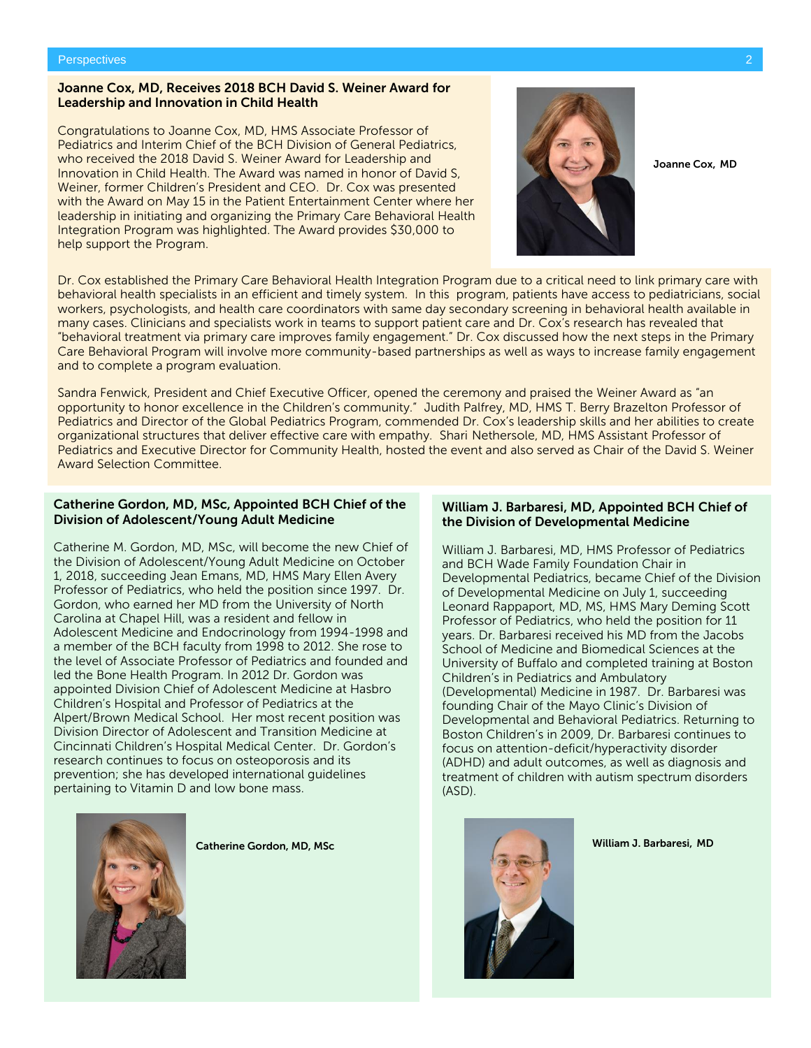#### Joanne Cox, MD, Receives 2018 BCH David S. Weiner Award for Leadership and Innovation in Child Health

Congratulations to Joanne Cox, MD, HMS Associate Professor of Pediatrics and Interim Chief of the BCH Division of General Pediatrics, who received the 2018 David S. Weiner Award for Leadership and Innovation in Child Health. The Award was named in honor of David S, Weiner, former Children's President and CEO. Dr. Cox was presented with the Award on May 15 in the Patient Entertainment Center where her leadership in initiating and organizing the Primary Care Behavioral Health Integration Program was highlighted. The Award provides \$30,000 to help support the Program.



Joanne Cox, MD

Dr. Cox established the Primary Care Behavioral Health Integration Program due to a critical need to link primary care with behavioral health specialists in an efficient and timely system. In this program, patients have access to pediatricians, social workers, psychologists, and health care coordinators with same day secondary screening in behavioral health available in many cases. Clinicians and specialists work in teams to support patient care and Dr. Cox's research has revealed that "behavioral treatment via primary care improves family engagement." Dr. Cox discussed how the next steps in the Primary Care Behavioral Program will involve more community-based partnerships as well as ways to increase family engagement and to complete a program evaluation.

Sandra Fenwick, President and Chief Executive Officer, opened the ceremony and praised the Weiner Award as "an opportunity to honor excellence in the Children's community." Judith Palfrey, MD, HMS T. Berry Brazelton Professor of Pediatrics and Director of the Global Pediatrics Program, commended Dr. Cox's leadership skills and her abilities to create organizational structures that deliver effective care with empathy. Shari Nethersole, MD, HMS Assistant Professor of Pediatrics and Executive Director for Community Health, hosted the event and also served as Chair of the David S. Weiner Award Selection Committee.

#### Catherine Gordon, MD, MSc, Appointed BCH Chief of the Division of Adolescent/Young Adult Medicine

Catherine M. Gordon, MD, MSc, will become the new Chief of the Division of Adolescent/Young Adult Medicine on October 1, 2018, succeeding Jean Emans, MD, HMS Mary Ellen Avery Professor of Pediatrics, who held the position since 1997. Dr. Gordon, who earned her MD from the University of North Carolina at Chapel Hill, was a resident and fellow in Adolescent Medicine and Endocrinology from 1994-1998 and a member of the BCH faculty from 1998 to 2012. She rose to the level of Associate Professor of Pediatrics and founded and led the Bone Health Program. In 2012 Dr. Gordon was appointed Division Chief of Adolescent Medicine at Hasbro Children's Hospital and Professor of Pediatrics at the Alpert/Brown Medical School. Her most recent position was Division Director of Adolescent and Transition Medicine at Cincinnati Children's Hospital Medical Center. Dr. Gordon's research continues to focus on osteoporosis and its prevention; she has developed international guidelines pertaining to Vitamin D and low bone mass.



Catherine Gordon, MD, MSc

#### William J. Barbaresi, MD, Appointed BCH Chief of the Division of Developmental Medicine

William J. Barbaresi, MD, HMS Professor of Pediatrics and BCH Wade Family Foundation Chair in Developmental Pediatrics, became Chief of the Division of Developmental Medicine on July 1, succeeding Leonard Rappaport, MD, MS, HMS Mary Deming Scott Professor of Pediatrics, who held the position for 11 years. Dr. Barbaresi received his MD from the Jacobs School of Medicine and Biomedical Sciences at the University of Buffalo and completed training at Boston Children's in Pediatrics and Ambulatory (Developmental) Medicine in 1987. Dr. Barbaresi was founding Chair of the Mayo Clinic's Division of Developmental and Behavioral Pediatrics. Returning to Boston Children's in 2009, Dr. Barbaresi continues to focus on attention-deficit/hyperactivity disorder (ADHD) and adult outcomes, as well as diagnosis and treatment of children with autism spectrum disorders (ASD).



William J. Barbaresi, MD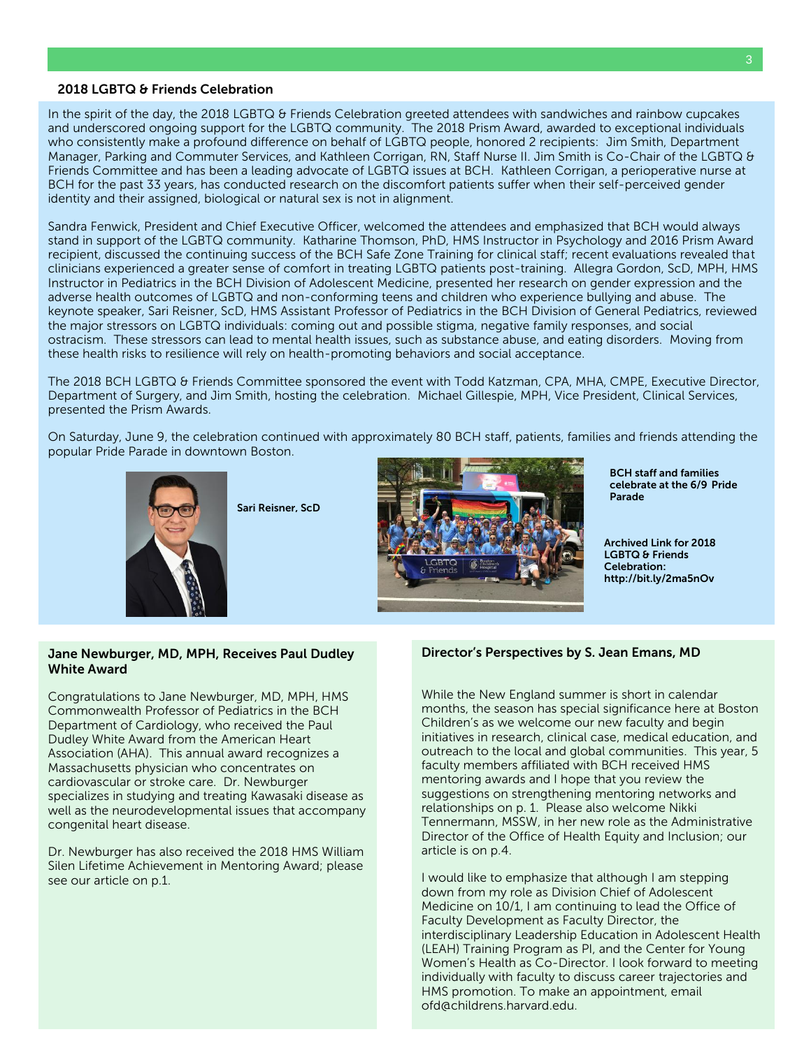#### 2018 LGBTQ & Friends Celebration

In the spirit of the day, the 2018 LGBTQ & Friends Celebration greeted attendees with sandwiches and rainbow cupcakes and underscored ongoing support for the LGBTQ community. The 2018 Prism Award, awarded to exceptional individuals who consistently make a profound difference on behalf of LGBTQ people, honored 2 recipients: Jim Smith, Department Manager, Parking and Commuter Services, and Kathleen Corrigan, RN, Staff Nurse II. Jim Smith is Co-Chair of the LGBTQ & Friends Committee and has been a leading advocate of LGBTQ issues at BCH. Kathleen Corrigan, a perioperative nurse at BCH for the past 33 years, has conducted research on the discomfort patients suffer when their self-perceived gender identity and their assigned, biological or natural sex is not in alignment.

Sandra Fenwick, President and Chief Executive Officer, welcomed the attendees and emphasized that BCH would always stand in support of the LGBTQ community. Katharine Thomson, PhD, HMS Instructor in Psychology and 2016 Prism Award recipient, discussed the continuing success of the BCH Safe Zone Training for clinical staff; recent evaluations revealed that clinicians experienced a greater sense of comfort in treating LGBTQ patients post-training. Allegra Gordon, ScD, MPH, HMS Instructor in Pediatrics in the BCH Division of Adolescent Medicine, presented her research on gender expression and the adverse health outcomes of LGBTQ and non-conforming teens and children who experience bullying and abuse. The keynote speaker, Sari Reisner, ScD, HMS Assistant Professor of Pediatrics in the BCH Division of General Pediatrics, reviewed the major stressors on LGBTQ individuals: coming out and possible stigma, negative family responses, and social ostracism. These stressors can lead to mental health issues, such as substance abuse, and eating disorders. Moving from these health risks to resilience will rely on health-promoting behaviors and social acceptance.

The 2018 BCH LGBTQ & Friends Committee sponsored the event with Todd Katzman, CPA, MHA, CMPE, Executive Director, Department of Surgery, and Jim Smith, hosting the celebration. Michael Gillespie, MPH, Vice President, Clinical Services, presented the Prism Awards.

On Saturday, June 9, the celebration continued with approximately 80 BCH staff, patients, families and friends attending the popular Pride Parade in downtown Boston.



Sari Reisner, ScD



BCH staff and families celebrate at the 6/9 Pride Parade

Archived Link for 2018 LGBTQ & Friends Celebration: http://bit.ly/2ma5nOv

#### Jane Newburger, MD, MPH, Receives Paul Dudley White Award

Congratulations to Jane Newburger, MD, MPH, HMS Commonwealth Professor of Pediatrics in the BCH Department of Cardiology, who received the Paul Dudley White Award from the American Heart Association (AHA). This annual award recognizes a Massachusetts physician who concentrates on cardiovascular or stroke care. Dr. Newburger specializes in studying and treating Kawasaki disease as well as the neurodevelopmental issues that accompany congenital heart disease.

Dr. Newburger has also received the 2018 HMS William Silen Lifetime Achievement in Mentoring Award; please see our article on p.1.

#### Director's Perspectives by S. Jean Emans, MD

While the New England summer is short in calendar months, the season has special significance here at Boston Children's as we welcome our new faculty and begin initiatives in research, clinical case, medical education, and outreach to the local and global communities. This year, 5 faculty members affiliated with BCH received HMS mentoring awards and I hope that you review the suggestions on strengthening mentoring networks and relationships on p. 1. Please also welcome Nikki Tennermann, MSSW, in her new role as the Administrative Director of the Office of Health Equity and Inclusion; our article is on p.4.

I would like to emphasize that although I am stepping down from my role as Division Chief of Adolescent Medicine on 10/1, I am continuing to lead the Office of Faculty Development as Faculty Director, the interdisciplinary Leadership Education in Adolescent Health (LEAH) Training Program as PI, and the Center for Young Women's Health as Co-Director. I look forward to meeting individually with faculty to discuss career trajectories and HMS promotion. To make an appointment, email [ofd@childrens.harvard.edu.](mailto:ofd@childrens.harvard.edu)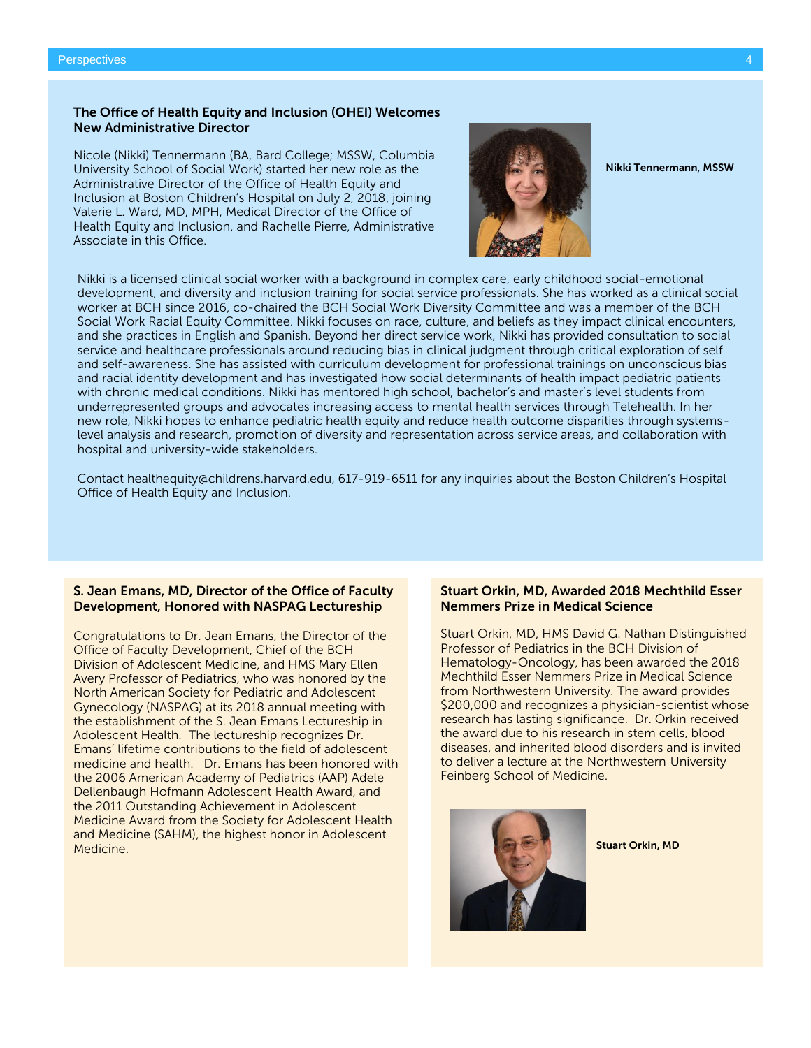#### The Office of Health Equity and Inclusion (OHEI) Welcomes New Administrative Director

Nicole (Nikki) Tennermann (BA, Bard College; MSSW, Columbia University School of Social Work) started her new role as the Administrative Director of the Office of Health Equity and Inclusion at Boston Children's Hospital on July 2, 2018, joining Valerie L. Ward, MD, MPH, Medical Director of the Office of Health Equity and Inclusion, and Rachelle Pierre, Administrative Associate in this Office.



Nikki Tennermann, MSSW

Nikki is a licensed clinical social worker with a background in complex care, early childhood social-emotional development, and diversity and inclusion training for social service professionals. She has worked as a clinical social worker at BCH since 2016, co-chaired the BCH Social Work Diversity Committee and was a member of the BCH Social Work Racial Equity Committee. Nikki focuses on race, culture, and beliefs as they impact clinical encounters, and she practices in English and Spanish. Beyond her direct service work, Nikki has provided consultation to social service and healthcare professionals around reducing bias in clinical judgment through critical exploration of self and self-awareness. She has assisted with curriculum development for professional trainings on unconscious bias and racial identity development and has investigated how social determinants of health impact pediatric patients with chronic medical conditions. Nikki has mentored high school, bachelor's and master's level students from underrepresented groups and advocates increasing access to mental health services through Telehealth. In her new role, Nikki hopes to enhance pediatric health equity and reduce health outcome disparities through systemslevel analysis and research, promotion of diversity and representation across service areas, and collaboration with hospital and university-wide stakeholders.

Contact [healthequity@childrens.harvard.edu,](mailto:healthequity@childrens.harvard.edu) 617-919-6511 for any inquiries about the Boston Children's Hospital Office of Health Equity and Inclusion.

#### S. Jean Emans, MD, Director of the Office of Faculty Development, Honored with NASPAG Lectureship

Congratulations to Dr. Jean Emans, the Director of the Office of Faculty Development, Chief of the BCH Division of Adolescent Medicine, and HMS Mary Ellen Avery Professor of Pediatrics, who was honored by the North American Society for Pediatric and Adolescent Gynecology (NASPAG) at its 2018 annual meeting with the establishment of the S. Jean Emans Lectureship in Adolescent Health. The lectureship recognizes Dr. Emans' lifetime contributions to the field of adolescent medicine and health. Dr. Emans has been honored with the 2006 American Academy of Pediatrics (AAP) Adele Dellenbaugh Hofmann Adolescent Health Award, and the 2011 Outstanding Achievement in Adolescent Medicine Award from the Society for Adolescent Health and Medicine (SAHM), the highest honor in Adolescent Medicine.

#### Stuart Orkin, MD, Awarded 2018 Mechthild Esser Nemmers Prize in Medical Science

Stuart Orkin, MD, HMS David G. Nathan Distinguished Professor of Pediatrics in the BCH Division of Hematology-Oncology, has been awarded the 2018 Mechthild Esser Nemmers Prize in Medical Science from Northwestern University. The award provides \$200,000 and recognizes a physician-scientist whose research has lasting significance. Dr. Orkin received the award due to his research in stem cells, blood diseases, and inherited blood disorders and is invited to deliver a lecture at the Northwestern University Feinberg School of Medicine.



Stuart Orkin, MD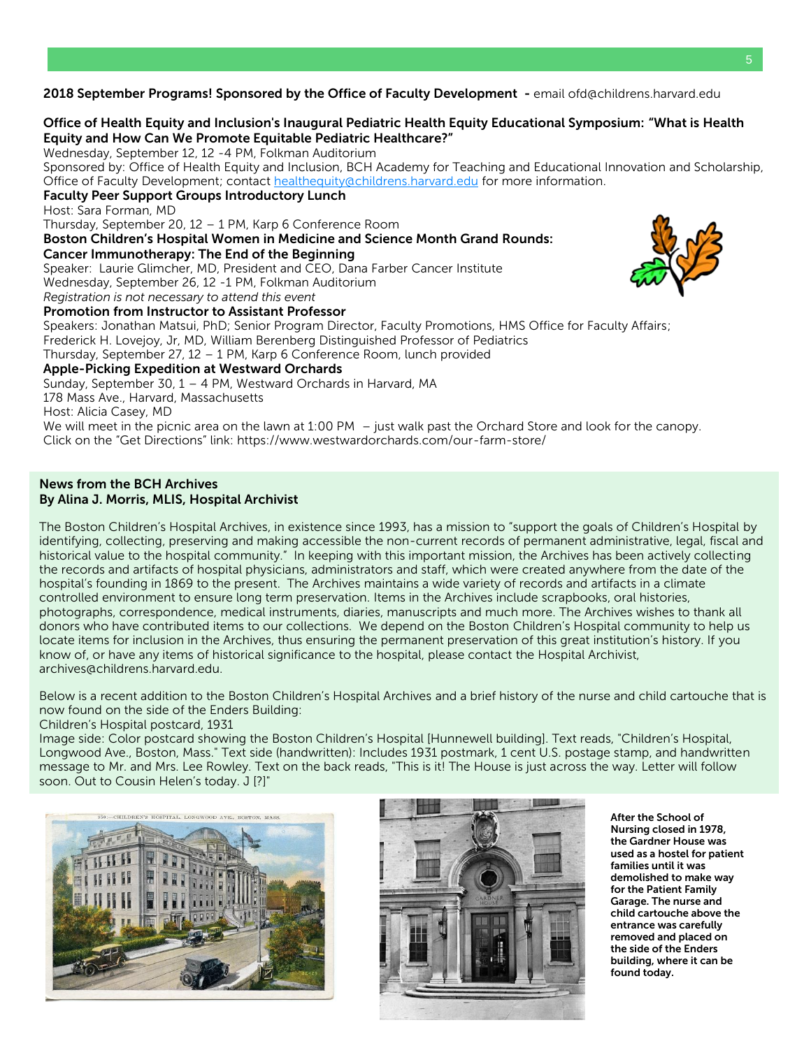2018 September Programs! Sponsored by the Office of Faculty Development - email ofd@childrens.harvard.edu

# Office of Health Equity and Inclusion's Inaugural Pediatric Health Equity Educational Symposium: "What is Health Equity and How Can We Promote Equitable Pediatric Healthcare?"

Wednesday, September 12, 12 -4 PM, Folkman Auditorium

Sponsored by: Office of Health Equity and Inclusion, BCH Academy for Teaching and Educational Innovation and Scholarship, Office of Faculty Development; contact [healthequity@childrens.harvard.edu](mailto:healthequity@childrens.harvard.edu) for more information.

#### Faculty Peer Support Groups Introductory Lunch

Host: Sara Forman, MD

Thursday, September 20, 12 – 1 PM, Karp 6 Conference Room

Boston Children's Hospital Women in Medicine and Science Month Grand Rounds:

#### Cancer Immunotherapy: The End of the Beginning

Speaker: Laurie Glimcher, MD, President and CEO, Dana Farber Cancer Institute

Wednesday, September 26, 12 -1 PM, Folkman Auditorium

*Registration is not necessary to attend this event*

#### Promotion from Instructor to Assistant Professor

Speakers: Jonathan Matsui, PhD; Senior Program Director, Faculty Promotions, HMS Office for Faculty Affairs; Frederick H. Lovejoy, Jr, MD, William Berenberg Distinguished Professor of Pediatrics Thursday, September 27, 12 – 1 PM, Karp 6 Conference Room, lunch provided Apple-Picking Expedition at Westward Orchards Sunday, September 30, 1 – 4 PM, Westward Orchards in Harvard, MA 178 Mass Ave., Harvard, Massachusetts Host: Alicia Casey, MD

We will meet in the picnic area on the lawn at 1:00 PM – just walk past the Orchard Store and look for the canopy. Click on the "Get Directions" link: https://www.westwardorchards.com/our-farm-store/

#### News from the BCH Archives By Alina J. Morris, MLIS, Hospital Archivist

The Boston Children's Hospital Archives, in existence since 1993, has a mission to "support the goals of Children's Hospital by identifying, collecting, preserving and making accessible the non-current records of permanent administrative, legal, fiscal and historical value to the hospital community." In keeping with this important mission, the Archives has been actively collecting the records and artifacts of hospital physicians, administrators and staff, which were created anywhere from the date of the hospital's founding in 1869 to the present. The Archives maintains a wide variety of records and artifacts in a climate controlled environment to ensure long term preservation. Items in the Archives include scrapbooks, oral histories, photographs, correspondence, medical instruments, diaries, manuscripts and much more. The Archives wishes to thank all donors who have contributed items to our collections. We depend on the Boston Children's Hospital community to help us locate items for inclusion in the Archives, thus ensuring the permanent preservation of this great institution's history. If you know of, or have any items of historical significance to the hospital, please contact the Hospital Archivist, archives@childrens.harvard.edu.

Below is a recent addition to the Boston Children's Hospital Archives and a brief history of the nurse and child cartouche that is now found on the side of the Enders Building:

#### Children's Hospital postcard, 1931

Image side: Color postcard showing the Boston Children's Hospital [Hunnewell building]. Text reads, "Children's Hospital, Longwood Ave., Boston, Mass." Text side (handwritten): Includes 1931 postmark, 1 cent U.S. postage stamp, and handwritten message to Mr. and Mrs. Lee Rowley. Text on the back reads, "This is it! The House is just across the way. Letter will follow soon. Out to Cousin Helen's today. J [?]"





After the School of Nursing closed in 1978, the Gardner House was used as a hostel for patient families until it was demolished to make way for the Patient Family Garage. The nurse and child cartouche above the entrance was carefully removed and placed on the side of the Enders building, where it can be found today.

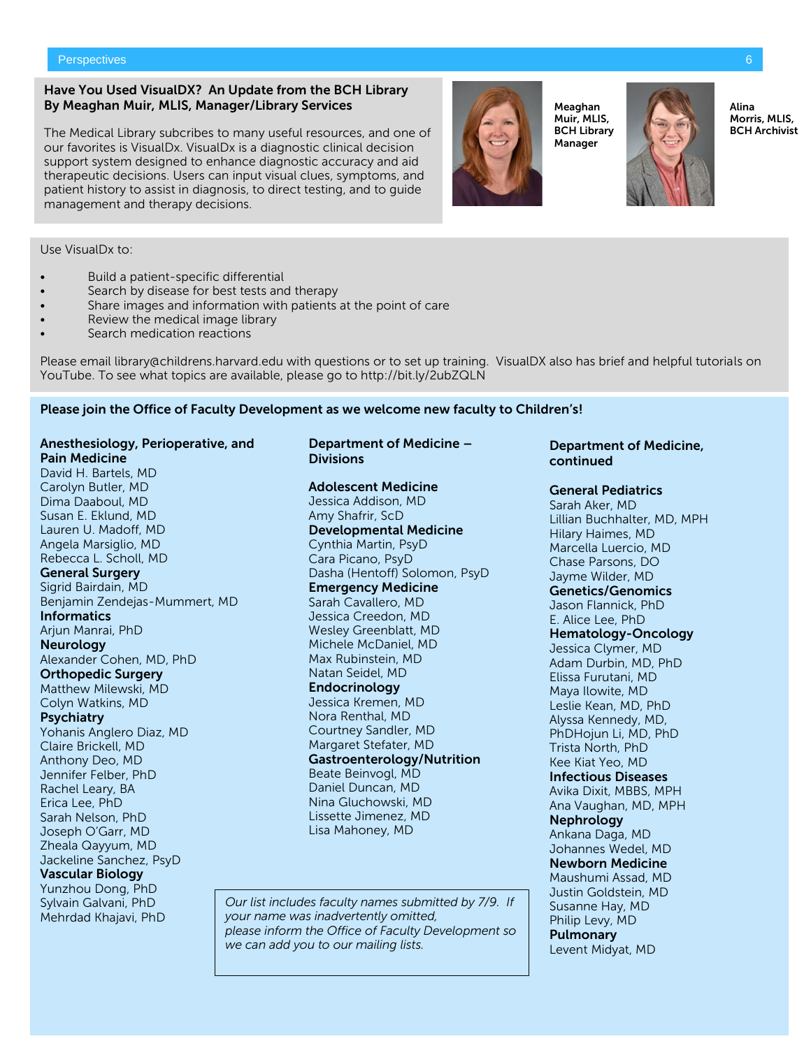#### Have You Used VisualDX? An Update from the BCH Library By Meaghan Muir, MLIS, Manager/Library Services

The Medical Library subcribes to many useful resources, and one of our favorites is VisualDx. VisualDx is a diagnostic clinical decision support system designed to enhance diagnostic accuracy and aid therapeutic decisions. Users can input visual clues, symptoms, and patient history to assist in diagnosis, to direct testing, and to guide management and therapy decisions.

Use VisualDx to:

- Build a patient-specific differential
- Search by disease for best tests and therapy
- Share images and information with patients at the point of care
- Review the medical image library
- Search medication reactions

Please email library@childrens.harvard.edu with questions or to set up training. VisualDX also has brief and helpful tutorials on YouTube. To see what topics are available, please go to http://bit.ly/2ubZQLN

#### Please join the Office of Faculty Development as we welcome new faculty to Children's!

# Anesthesiology, Perioperative, and Pain Medicine

David H. Bartels, MD Carolyn Butler, MD Dima Daaboul, MD Susan E. Eklund, MD Lauren U. Madoff, MD Angela Marsiglio, MD Rebecca L. Scholl, MD General Surgery Sigrid Bairdain, MD Benjamin Zendejas-Mummert, MD **Informatics** Arjun Manrai, PhD Neurology Alexander Cohen, MD, PhD Orthopedic Surgery Matthew Milewski, MD Colyn Watkins, MD Psychiatry Yohanis Anglero Diaz, MD Claire Brickell, MD Anthony Deo, MD Jennifer Felber, PhD Rachel Leary, BA Erica Lee, PhD Sarah Nelson, PhD Joseph O'Garr, MD Zheala Qayyum, MD Jackeline Sanchez, PsyD Vascular Biology Yunzhou Dong, PhD Sylvain Galvani, PhD Mehrdad Khajavi, PhD

# Department of Medicine – **Divisions**

#### Adolescent Medicine Jessica Addison, MD Amy Shafrir, ScD Developmental Medicine Cynthia Martin, PsyD Cara Picano, PsyD Dasha (Hentoff) Solomon, PsyD Emergency Medicine Sarah Cavallero, MD Jessica Creedon, MD Wesley Greenblatt, MD Michele McDaniel, MD Max Rubinstein, MD Natan Seidel, MD **Endocrinology** Jessica Kremen, MD Nora Renthal, MD Courtney Sandler, MD Margaret Stefater, MD Gastroenterology/Nutrition Beate Beinvogl, MD Daniel Duncan, MD Nina Gluchowski, MD Lissette Jimenez, MD Lisa Mahoney, MD

*Our list includes faculty names submitted by 7/9. If your name was inadvertently omitted, please inform the Office of Faculty Development so we can add you to our mailing lists.*

#### Department of Medicine, continued

#### General Pediatrics

Sarah Aker, MD Lillian Buchhalter, MD, MPH Hilary Haimes, MD Marcella Luercio, MD Chase Parsons, DO Jayme Wilder, MD Genetics/Genomics Jason Flannick, PhD E. Alice Lee, PhD Hematology-Oncology Jessica Clymer, MD Adam Durbin, MD, PhD Elissa Furutani, MD Maya Ilowite, MD Leslie Kean, MD, PhD Alyssa Kennedy, MD, PhDHojun Li, MD, PhD Trista North, PhD Kee Kiat Yeo, MD Infectious Diseases Avika Dixit, MBBS, MPH Ana Vaughan, MD, MPH Nephrology Ankana Daga, MD Johannes Wedel, MD Newborn Medicine Maushumi Assad, MD Justin Goldstein, MD Susanne Hay, MD Philip Levy, MD Pulmonary Levent Midyat, MD

Meaghan Muir, MLIS, BCH Library Manager



Alina Morris, MLIS, BCH Archivist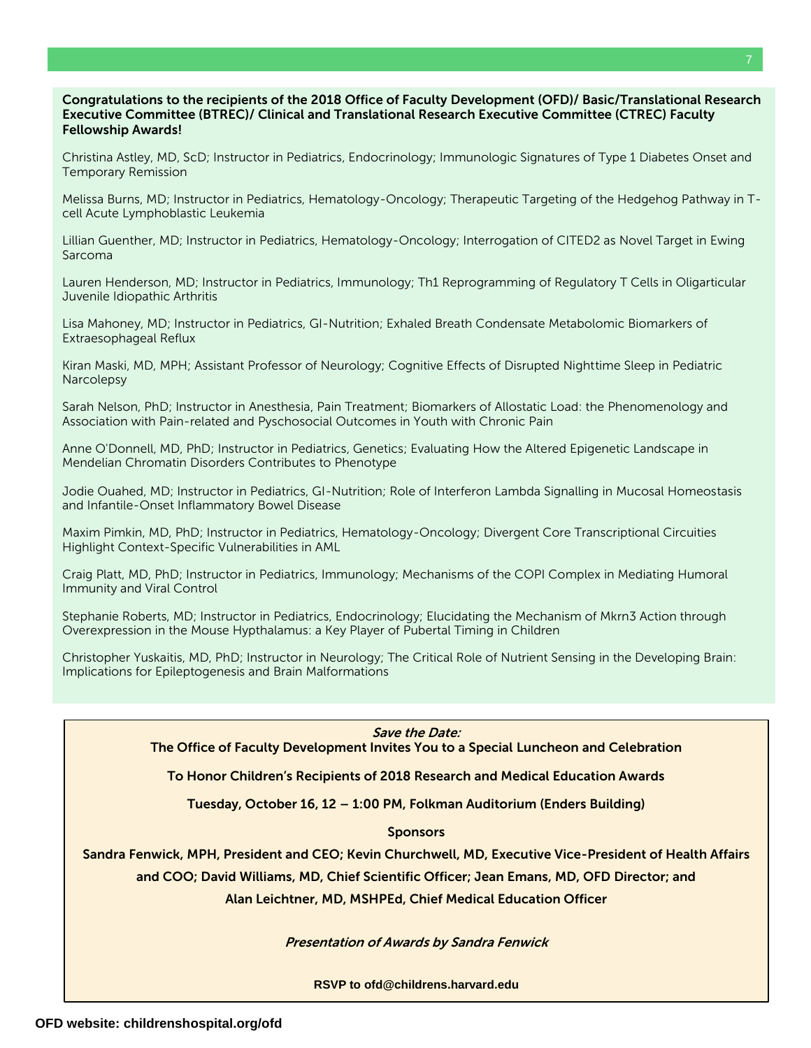#### Congratulations to the recipients of the 2018 Office of Faculty Development (OFD)/ Basic/Translational Research Executive Committee (BTREC)/ Clinical and Translational Research Executive Committee (CTREC) Faculty Fellowship Awards!

Christina Astley, MD, ScD; Instructor in Pediatrics, Endocrinology; Immunologic Signatures of Type 1 Diabetes Onset and Temporary Remission

Melissa Burns, MD; Instructor in Pediatrics, Hematology-Oncology; Therapeutic Targeting of the Hedgehog Pathway in Tcell Acute Lymphoblastic Leukemia

Lillian Guenther, MD; Instructor in Pediatrics, Hematology-Oncology; Interrogation of CITED2 as Novel Target in Ewing Sarcoma

Lauren Henderson, MD; Instructor in Pediatrics, Immunology; Th1 Reprogramming of Regulatory T Cells in Oligarticular Juvenile Idiopathic Arthritis

Lisa Mahoney, MD; Instructor in Pediatrics, GI-Nutrition; Exhaled Breath Condensate Metabolomic Biomarkers of Extraesophageal Reflux

Kiran Maski, MD, MPH; Assistant Professor of Neurology; Cognitive Effects of Disrupted Nighttime Sleep in Pediatric **Narcolepsy** 

Sarah Nelson, PhD; Instructor in Anesthesia, Pain Treatment; Biomarkers of Allostatic Load: the Phenomenology and Association with Pain-related and Pyschosocial Outcomes in Youth with Chronic Pain

Anne O'Donnell, MD, PhD; Instructor in Pediatrics, Genetics; Evaluating How the Altered Epigenetic Landscape in Mendelian Chromatin Disorders Contributes to Phenotype

Jodie Ouahed, MD; Instructor in Pediatrics, GI-Nutrition; Role of Interferon Lambda Signalling in Mucosal Homeostasis and Infantile-Onset Inflammatory Bowel Disease

Maxim Pimkin, MD, PhD; Instructor in Pediatrics, Hematology-Oncology; Divergent Core Transcriptional Circuities Highlight Context-Specific Vulnerabilities in AML

Craig Platt, MD, PhD; Instructor in Pediatrics, Immunology; Mechanisms of the COPI Complex in Mediating Humoral Immunity and Viral Control

Stephanie Roberts, MD; Instructor in Pediatrics, Endocrinology; Elucidating the Mechanism of Mkrn3 Action through Overexpression in the Mouse Hypthalamus: a Key Player of Pubertal Timing in Children

Christopher Yuskaitis, MD, PhD; Instructor in Neurology; The Critical Role of Nutrient Sensing in the Developing Brain: Implications for Epileptogenesis and Brain Malformations

Save the Date:

The Office of Faculty Development Invites You to a Special Luncheon and Celebration

To Honor Children's Recipients of 2018 Research and Medical Education Awards

Tuesday, October 16, 12 – 1:00 PM, Folkman Auditorium (Enders Building)

**Sponsors** 

Sandra Fenwick, MPH, President and CEO; Kevin Churchwell, MD, Executive Vice-President of Health Affairs

and COO; David Williams, MD, Chief Scientific Officer; Jean Emans, MD, OFD Director; and

Alan Leichtner, MD, MSHPEd, Chief Medical Education Officer

Presentation of Awards by Sandra Fenwick

**RSVP to [ofd@childrens.harvard.edu](mailto:ofd@childrens.harvard.edu)**